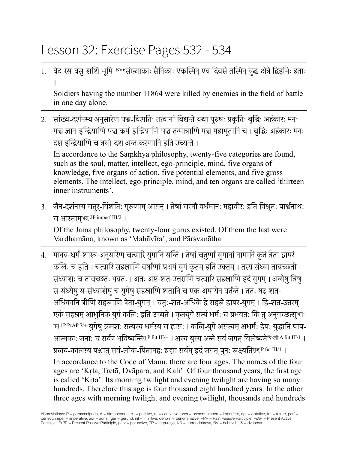## Lesson 32: Exercise Pages 532 - 534

1. वेद-रस-वसु-शशि-भूमि-<sup>BV6</sup>संख्याकाः सैनिकाः एकस्मिन् एव दिवसे तस्मिन् युद्ध-क्षेत्रे द्विड्भिः हताः ।

Soldiers having the number 11864 were killed by enemies in the field of battle in one day alone.

2. सांख्य-दर्शनस्य अनुसारेण पञ्च-विंशतिः तत्त्वानां विद्यन्ते यथा पुरुषः प्रकृतिः बुद्धिः अहंकारः मनः पञ्च ज्ञान-इन्द्रियाणि पञ्च कर्म-इन्द्रियाणि पञ्च तन्मात्राणि पञ्च महाभूतानि च । बुद्धिः अहंकारः मनः दश इन्द्रियाणि च त्रयो-दश अन्तःकरणानि इति उच्यन्ते ।

In accordance to the Sāṃkhya philosophy, twenty-five categories are found, such as the soul, matter, intellect, ego-principle, mind, five organs of knowledge, five organs of action, five potential elements, and five gross elements. The intellect, ego-principle, mind, and ten organs are called 'thirteen inner instruments'.

3. जैन-दर्शनस्य चतुर्-विंशतिः गुरूणाम् आसन् । तेषां चरमौ वर्धमानः महावीरः इति विश्रुतः पार्श्वनाथः च आसाम्अस् 2P imperf III/2 ।

Of the Jaina philosophy, twenty-four gurus existed. Of them the last were Vardhamāna, known as 'Mahāvīra', and Pārśvanātha.

4. मानव-धर्म-शास्त्र-अनुसारेण चत्वारि युगानि सन्ति । तेषां चतुर्णां युगानां नामानि कृतं त्रेता द्वापरं कलिः च इति । चत्वारि सहस्राणि वर्षाणां प्रथमं युगं कृतम् इति उक्तम् । तस्य संध्या तावच्छती संध्यांशः च तावच्छतः भवतः । अतः अष्ट-शत-उत्तराणि चत्वारि सहस्राणि इदं युगम् । अन्येषु त्रिषु स-संध्येषु स-संध्यांशेषु च युगेषु सहस्राणि शतानि च एक-अपायेन वर्तन्ते । ततः षट्-शत-अधिकानि त्रीणि सहस्राणि त्रेता-युगम् । चतुः-शत-अधिके द्वे सहस्रे द्वापर-युगम् । द्वि-शत-उत्तरम् एकं सहस्रम् आधुनिकं युगं कलिः इति उच्यते । कृतयुगे सत्यं धर्मः च प्रभवतः किं तु अनुगच्छत्सुअनु-गम् IP PrAP 7/+ युगेषु क्रमशः सत्यस्य धर्मस्य च ह्रासः । कलि-युगे असत्यम् अधर्मः द्वेषः युद्धानि पाप-आत्मकाः जनाः च सर्वत्र भविष्यन्तिभू P fut III/+ । अस्य युस्य अन्ते सर्वं जगत् विलेष्यतेविन्ली A fut III/1 । प्रलय-कालस्य पश्चात सर्व-लोक-पितामहः ब्रह्मा सर्वम् इदं जगत पनः स्रक्ष्यति<sup>कुन् P fut III/1</sup> । In accordance to the Code of Manu, there are four ages. The names of the four ages are 'Kṛta, Tretā, Dvāpara, and Kali'. Of four thousand years, the first age is called 'Kṛta'. Its morning twilight and evening twilight are having so many hundreds. Therefore this age is four thousand eight hundred years. In the other three ages with morning twilight and evening twilight, thousands and hundreds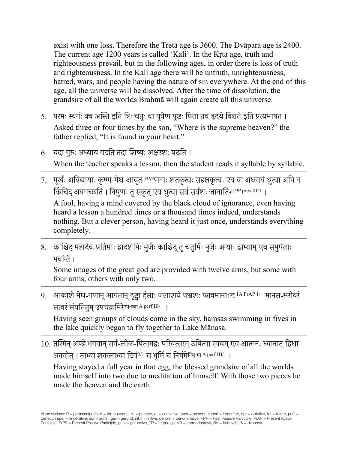exist with one loss. Therefore the Tretā age is 3600. The Dvāpara age is 2400. The current age 1200 years is called 'Kali'. In the Kṛta age, truth and righteousness prevail, but in the following ages, in order there is loss of truth and righteousness. In the Kali age there will be untruth, unrighteousness, hatred, wars, and people having the nature of sin everywhere. At the end of this age, all the universe will be dissolved. After the time of dissolution, the grandsire of all the worlds Brahmā will again create all this universe.

- 5. ) परमः स्वर्गः क्व अस्ति इति त्रिः चतुः वा पुत्रेण पृष्टः पिता तव हृदये विद्यते इति प्रत्यभाषत । Asked three or four times by the son, "Where is the supreme heaven?" the father replied, "It is found in your heart."
- 6. यदा गुरुः अध्यायं वदति तदा शिष्यः अक्षरशः पठति । When the teacher speaks a lesson, then the student reads it syllable by syllable.
- 7. मूर्खः अविद्यायाः कृष्ण-मेघ-आवृत-<sup>BV6</sup>मनाः शतकृत्वः सहस्रकृत्वः एव वा अध्यायं श्रुत्वा अपि न किंचिद् अवगच्छति । निपुणः तु सकृत् एव श्रुत्वा सर्वं सर्वशः जानातिज्ञा 9P pres III/1 ।

A fool, having a mind covered by the black cloud of ignorance, even having heard a lesson a hundred times or a thousand times indeed, understands nothing. But a clever person, having heard it just once, understands everything completely.

8. काश्चिद् महादेव-प्रतिमाः द्वादशभिः भुजैः काश्चिद् तु चतुर्भिः भुजैः अन्याः द्वाभ्याम् एव समुपेताः भविन ।

Some images of the great god are provided with twelve arms, but some with four arms, others with only two.

9. आकाशे मेघ-गणान् आगतान् दृष्ट्रा हंसाः जलाशये पञ्चशः प्लवमानाःप्लु IA PrAP 1/+ मानस-सरोवरं सतरंसंपिततुम्उपचकिमरेउप-कम् A perf III/+ ।

Having seen groups of clouds come in the sky, haṃsas swimming in fives in the lake quickly began to fly together to Lake Mānasa.

10. तस्मिन् अण्डे भगवान् सर्व-लोक-पितामहः परिवत्सरम् उषित्वा स्वयम् एव आत्मनः ध्यानात् द्विधा अकरोत् । ताभ्यां शकलाभ्यां दिवं $^{2/1}$  च भूमिं च निर्ममेनिस्-मा A perf III/1 ।

Having stayed a full year in that egg, the blessed grandsire of all the worlds made himself into two due to meditation of himself. With those two pieces he made the heaven and the earth.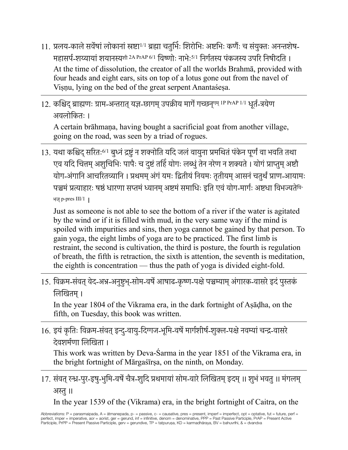- $11$ . प्रलय-काले सर्वेषां लोकानां स्रष्टा<sup>1/1</sup> ब्रह्मा चतुर्भिः शिरोभिः अष्टभिः कर्णैः च संयुक्तः अनन्तशेष-महासर्प-शय्यायां शयानस्य<sup>क्षी 2A PrAP 6/1</sup> विष्णोः नाभेः<sup>5/1</sup> निर्गतस्य पंकजस्य उपरि निषीदति । At the time of dissolution, the creator of all the worlds Brahmā, provided with four heads and eight ears, sits on top of a lotus gone out from the navel of Viṣṇu, lying on the bed of the great serpent Anantaśeṣa.
- 12. कश्चिद् ब्राह्मणः ग्राम-अन्तरात् यज्ञ-छागम् उपक्रीय मार्गे गच्छन्गम् <sup>1P PrAP 1/1</sup> धूर्त-त्रयेण अवलोिकतः ।

A certain brāhmaṇa, having bought a sacrificial goat from another village, going on the road, was seen by a triad of rogues.

13. यथा कश्चिद सरितः<sup>6/1</sup> बुध्नं द्रष्टुं न शक्नोति यदि जलं वायुना प्रमथितं पंकेन पूर्णं वा भवति तथा एव यदि चित्तम् अशुचिभिः पापैः च दुष्टं तर्हि योगः लब्धुं तेन नरेण न शक्यते । योगं प्राप्तुम् अष्टौ योग-अंगानि आचरितव्यानि । प्रथमम् अंगं यमः द्वितीयं नियमः तृतीयम् आसनं चतुर्थं प्राण-आयामः पञ्चमं प्रत्याहारः षष्ठं धारणा सप्तमं ध्यानम् अष्टमं समाधिः इति एवं योग-मार्गः अष्टधा विभज्यतेबि-भज् p-pres III/1 ।

Just as someone is not able to see the bottom of a river if the water is agitated by the wind or if it is filled with mud, in the very same way if the mind is spoiled with impurities and sins, then yoga cannot be gained by that person. To gain yoga, the eight limbs of yoga are to be practiced. The first limb is restraint, the second is cultivation, the third is posture, the fourth is regulation of breath, the fifth is retraction, the sixth is attention, the seventh is meditation, the eighth is concentration — thus the path of yoga is divided eight-fold.

15. विक्रम-संवत् वेद-अभ-अनुष्टभु-सोम-वर्षे आषाढ-कृष्ण-पक्षे पञ्चम्याम् अंगारक-वासरे इदं पुस्तकं िलिखतम्।

In the year 1804 of the Vikrama era, in the dark fortnight of Aṣāḍha, on the fifth, on Tuesday, this book was written.

16. इयं कृतिः विक्रम-संवत् इन्दु-वायु-दिग्गज-भूमि-वर्षे मार्गशीर्ष-शुक्ल-पक्षे नवम्यां चन्द्र-वासरे देवशर्मणा लिखिता ।

This work was written by Deva-Śarma in the year 1851 of the Vikrama era, in the bright fortnight of Mārgaśīrṣa, on the ninth, on Monday.

## 17. संवत् रन्ध्र-पुर-इषु-भुमि-वर्षे चैत्र-शुदि प्रथमायां सोम-वारे लिखितम् इदम् ॥ शुभं भवतु ॥ मंगलम् अस्तु ॥

In the year 1539 of the (Vikrama) era, in the bright fortnight of Caitra, on the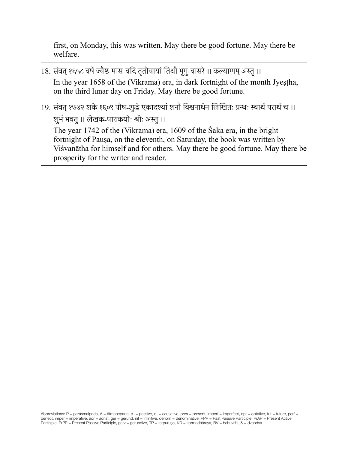first, on Monday, this was written. May there be good fortune. May there be welfare.

- 18. संवत् १६५८ वर्षे ज्यैष्ठ-मास-वदि तृतीयायां तिथौ भृगु-वासरे ॥ कल्याणम् अस्तु ॥ In the year 1658 of the (Vikrama) era, in dark fortnight of the month Jyeṣṭha, on the third lunar day on Friday. May there be good fortune.
- 19. संवत् १७४२ शके १६०९ पौष-शुद्धे एकादश्यां शनौ विश्वनाथेन लिखितः ग्रन्थः स्वार्थं परार्थं च ॥ शुभं भवतु ॥ लेखक-पाठकयोः श्रीः अस्तु ॥

The year 1742 of the (Vikrama) era, 1609 of the Śaka era, in the bright fortnight of Pauṣa, on the eleventh, on Saturday, the book was written by Viśvanātha for himself and for others. May there be good fortune. May there be prosperity for the writer and reader.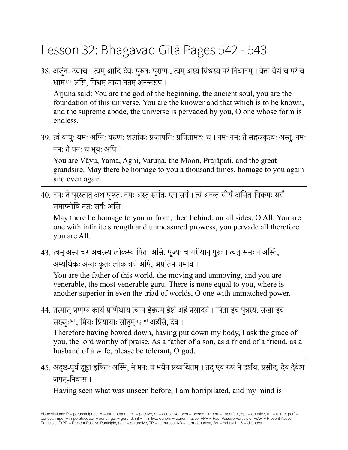## Lesson 32: Bhagavad Gītā Pages 542 - 543

38. अर्जुनः उवाच । त्वम् आदि-देवः पुरुषः पुराणः, त्वम् अस्य विश्वस्य परंं निधानम् । वेत्ता वेद्यं च परं च धाम $^{1/1}$  असि, विश्वम् त्वया ततम् अनन्तरुप ।

Arjuna said: You are the god of the beginning, the ancient soul, you are the foundation of this universe. You are the knower and that which is to be known, and the supreme abode, the universe is pervaded by you, O one whose form is endless.

39. त्वं वायुः यमः अग्निः वरुणः शशांकः प्रजापतिः प्रपितामहः च । नमः नमः ते सहस्रकत्वः अस्तु, नमः नमः ते पनः च भूयः अपि ।

You are Vāyu, Yama, Agni, Varuṇa, the Moon, Prajāpati, and the great grandsire. May there be homage to you a thousand times, homage to you again and even again.

40. नमः ते पुरस्तात् अथ पृष्ठतः नमः अस्तु सर्वतः एव सर्व । त्वं अनन्त-वीर्य-अमित-विक्रमः सर्वं समाप्नोषि ततः सर्वः असि ।

May there be homage to you in front, then behind, on all sides, O All. You are one with infinite strength and unmeasured prowess, you pervade all therefore you are All.

43. त्वम् अस्य चर-अचरस्य लोकस्य पिता असि, पूज्यः च गरीयान् गुरुः । त्वत्-समः न अस्ति, अभ्यधिकः अन्यः कुतः लोक-त्रये अपि, अप्रतिम-प्रभाव ।

You are the father of this world, the moving and unmoving, and you are venerable, the most venerable guru. There is none equal to you, where is another superior in even the triad of worlds, O one with unmatched power.

44. तस्मात् प्रणम्य कायं प्रणिधाय त्वाम् ईड्यम् ईशं अहं प्रसादये । पिता इव पुत्रस्य, सखा इव सख्युः<sup>6/1</sup>, प्रियः प्रियायाः सोढुम्<sup>सह् inf</sup> अर्हसि, देव ।

Therefore having bowed down, having put down my body, I ask the grace of you, the lord worthy of praise. As a father of a son, as a friend of a friend, as a husband of a wife, please be tolerant, O god.

45. अदृष्ट-पूर्वं दृष्ट्वा हृषितः अस्मि, मे मनः च भयेन प्रव्यथितम् । तद् एव रूपं मे दर्शय, प्रसीद, देव देवेश जगत्-िनवास ।

Having seen what was unseen before, I am horripilated, and my mind is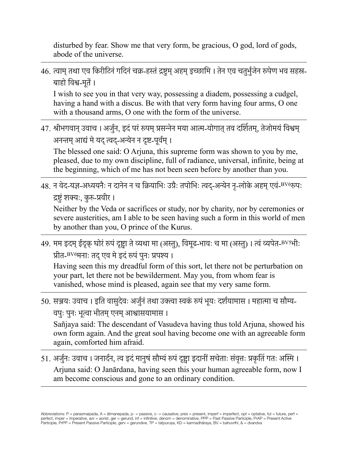disturbed by fear. Show me that very form, be gracious, O god, lord of gods, abode of the universe.

## 46. त्वाम् तथा एव किरीटिनं गदिनं चक्र-हस्तं द्रष्टुम् अहम् इच्छामि । तेन एव चतुर्भुजेन रूपेण भव सहस्र-बाहो िवश-मूते।

I wish to see you in that very way, possessing a diadem, possessing a cudgel, having a hand with a discus. Be with that very form having four arms, O one with a thousand arms, O one with the form of the universe.

47. श्रीभगवान् उवाच । अर्जुन, इदं परं रूपम् प्रसन्नेन मया आत्म-योगात् तव दर्शितम्, तेजोमयं विश्वम् अनन्तम् आद्यं मे यद् त्वद-अन्येन न दृष्ट-पूर्वम् ।

The blessed one said: O Arjuna, this supreme form was shown to you by me, pleased, due to my own discipline, full of radiance, universal, infinite, being at the beginning, which of me has not been seen before by another than you.

48. न वेद-यज्ञ-अध्ययनैः न दानेन न च क्रियाभिः उग्रैः तपोभिः त्वद-अन्येन नृ-लोके अहम् एवं-<sup>BV6</sup>रूपः द्रष्टुं शक्यः, कुरु-प्रवीर ।

Neither by the Veda or sacrifices or study, nor by charity, nor by ceremonies or severe austerities, am I able to be seen having such a form in this world of men by another than you, O prince of the Kurus.

49. मम इदम् ईदृक् घोरं रूपं दृष्ट्वा ते व्यथा मा (अस्तु), विमूढ-भावः च मा (अस्तु) । त्वं व्यपेत-<sup>BV5</sup>भीः प्रीत-<sup>BV6</sup>मनाः तद् एव मे इदं रूपं पुनः प्रपश्य ।

Having seen this my dreadful form of this sort, let there not be perturbation on your part, let there not be bewilderment. May you, from whom fear is vanished, whose mind is pleased, again see that my very same form.

50. सञ्जयः उवाच । इति वासुदेवः अर्जुनं तथा उक्त्वा स्वकं रूपं भयः दर्शयामास । महात्मा च सौम्य-वपुः पुनः भूत्वा भीतम् एनम् आश्वासयामास ।

Sañjaya said: The descendant of Vasudeva having thus told Arjuna, showed his own form again. And the great soul having become one with an agreeable form again, comforted him afraid.

51. अर्जुनः उवाच । जनार्दन, त्व इदं मानुषं सौम्यं रूपं दृष्ट्वा इदानीं सचेताः संवृत्तः प्रकृतिं गतः अस्मि । Arjuna said: O Janārdana, having seen this your human agreeable form, now I am become conscious and gone to an ordinary condition.